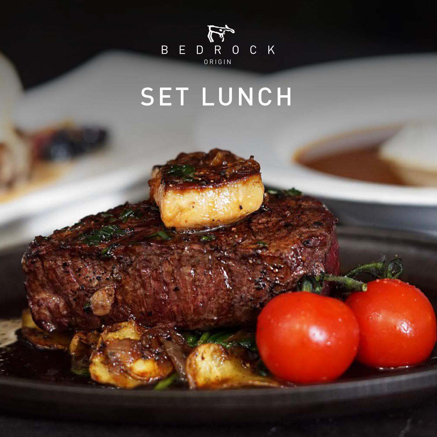

# SET LUNCH

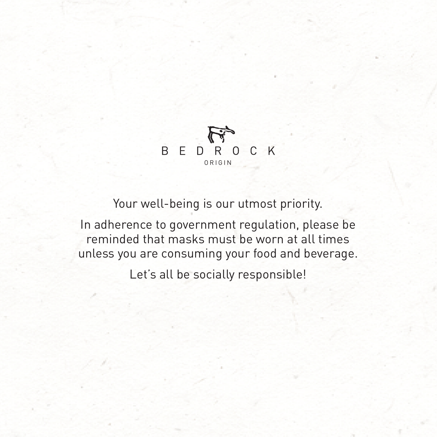Your well-being is our utmost priority.

In adherence to government regulation, please be reminded that masks must be worn at all times unless you are consuming your food and beverage. Let's all be socially responsible!

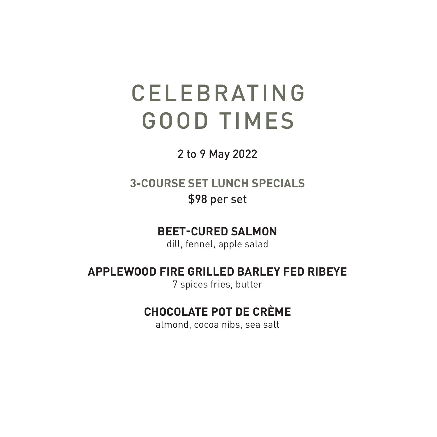# CELEBRATING GOOD TIMES

2 to 9 May 2022

### **3-COURSE SET LUNCH SPECIALS**

\$98 per set

# **BEET-CURED SALMON**

dill, fennel, apple salad

### **APPLEWOOD FIRE GRILLED BARLEY FED RIBEYE** 7 spices fries, butter

# **CHOCOLATE POT DE CRÈME**

almond, cocoa nibs, sea salt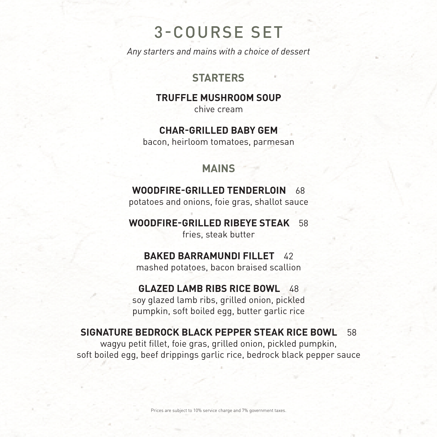# 3-COURSE SET

*Any starters and mains with a choice of dessert*

## **STARTERS**

# **TRUFFLE MUSHROOM SOUP**

chive cream

### **CHAR-GRILLED BABY GEM**

bacon, heirloom tomatoes, parmesan

**MAINS**

#### **WOODFIRE-GRILLED TENDERLOIN** 68

potatoes and onions, foie gras, shallot sauce

## **WOODFIRE-GRILLED RIBEYE STEAK** 58

fries, steak butter

#### **BAKED BARRAMUNDI FILLET** 42

mashed potatoes, bacon braised scallion

#### **GLAZED LAMB RIBS RICE BOWL** 48

soy glazed lamb ribs, grilled onion, pickled pumpkin, soft boiled egg, butter garlic rice

#### **SIGNATURE BEDROCK BLACK PEPPER STEAK RICE BOWL** 58 wagyu petit fillet, foie gras, grilled onion, pickled pumpkin,

soft boiled egg, beef drippings garlic rice, bedrock black pepper sauce

Prices are subject to 10% service charge and 7% government taxes.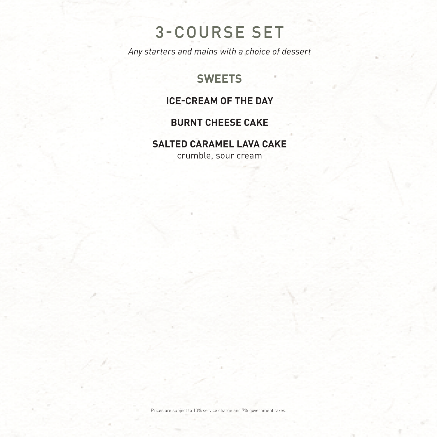Prices are subject to 10% service charge and 7% government taxes.

# 3-COURSE SET

*Any starters and mains with a choice of dessert*

## **SWEETS**

### **ICE-CREAM OF THE DAY**

### **BURNT CHEESE CAKE**

### **SALTED CARAMEL LAVA CAKE**

crumble, sour cream

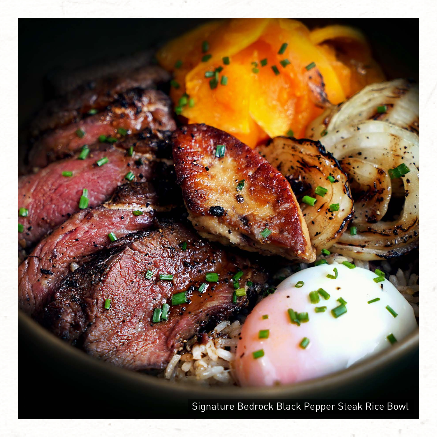